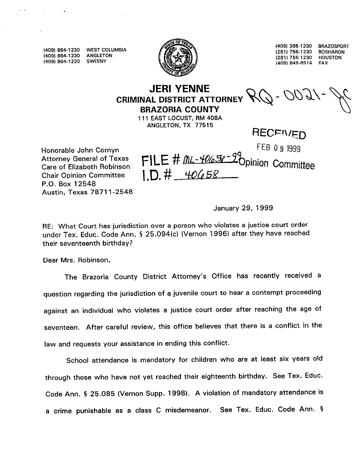**(409) 864-1230 WEST COLUMBIA ,409) 854-l 230 ANGLETON (409, 864-1230 SWEENY** 



**(4091 388-1230 BRAZOSWRT 756-1230 (281) ROSHARON I2811 756-1230 HOUSTON ,409) 849-8914 FAX** 

## **JERI YENNE CRIMINAL DISTRICT ATTORNEY BRAZORIA COUNTY**

**111 EAST LOCUST, RM 408A ANGLETON, TX 77515** 

**Honorable John Cornyn Feb 1999 is a community of the US** 1999 **P Attorney General of Texas Chair Opinion Committee P.O. Box 12548 Austin, Texas 7871 l-2548** 

**RECEIVED** 

**Care of Elizabeth Robinson** FILE # flMOfd% -lbpinion Committee  $ID. # 40658$ 

**January 29, 1999** 

**RE: What Court has jurisdiction over a person who violates a justice court order under Tex. Educ. Code Ann. § 25.094(c) (Vernon 1996) after they have reached their seventeenth birthday?** 

**Dear Mrs. Robinson,** 

**The Brazoria County District Attorney's Office has recently received a question regarding the jurisdiction of a juvenile court to hear a contempt proceeding against an individual who violates a justice court order after reaching the age of seventeen. After careful review, this office believes that there is a conflict in the law and requests your assistance in ending this conflict.** 

**School attendance is mandatory for children who are at least six years old through those who have not yet reached their eighteenth birthday. See Tex. Educ. Code Ann. § 25.085 (Vernon Supp. 1998). A violation of mandatory attendance is**  a crime punishable as a class C misdemeanor. See Tex. Educ. Code Ann. §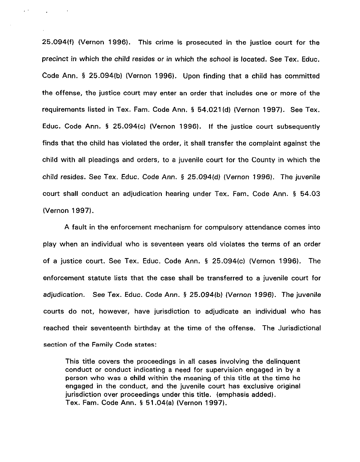**25.094(f) (Vernon 1996). This crime is prosecuted in the justice court for the precinct in which the child resides or in which the school is located. See Tex. Educ. Code Ann. § 25.094(b) (Vernon 1996). Upon finding that a child has committed the offense, the justice court may enter an order that includes one or more of the requirements listed in Tex. Fam. Code Ann. § 54.021 (d) (Vernon 1997). See Tex. Educ. Code Ann. § 25.094(c) (Vernon 1996). If the justice court subsequently finds that the child has violated the order, it shall transfer the complaint against the child with all pleadings and orders, to a juvenile court for the County in which the child resides. See Tex. Educ. Code Ann. § 25.094(d) (Vernon 1996). The juvenile court shall conduct an adjudication hearing under Tex. Fam. Code Ann. § 54.03 (Vernon 1997).** 

 $\mathbb{Z}^{(1)}$ 

**A fault in the enforcement mechanism for compulsory attendance comes into play when an individual who is seventeen years old violates the terms of an order of a justice court. See Tex. Educ. Code Ann. § 25.094(c) (Vernon 1996). The enforcement statute lists that the case shall be transferred to a juvenile court for adjudication. See Tex. Educ. Code Ann. § 25.094(b) (Vernon 1996). The juvenile courts do not, however, have jurisdiction to adjudicate an individual who has reached their seventeenth birthday at the time of the offense. The Jurisdictional section of the Family Code states:** 

**This title covers the proceedings in all cases involving the delinquent conduct or conduct indicating a need for supervision engaged in by a person who was a child within the meaning of this title at the time he engaged in the conduct, and the juvenile court has exclusive original jurisdiction over proceedings under this title. (emphasis added). Tex. Fam. Code Ann. § 51.04(a) (Vernon 1997).**